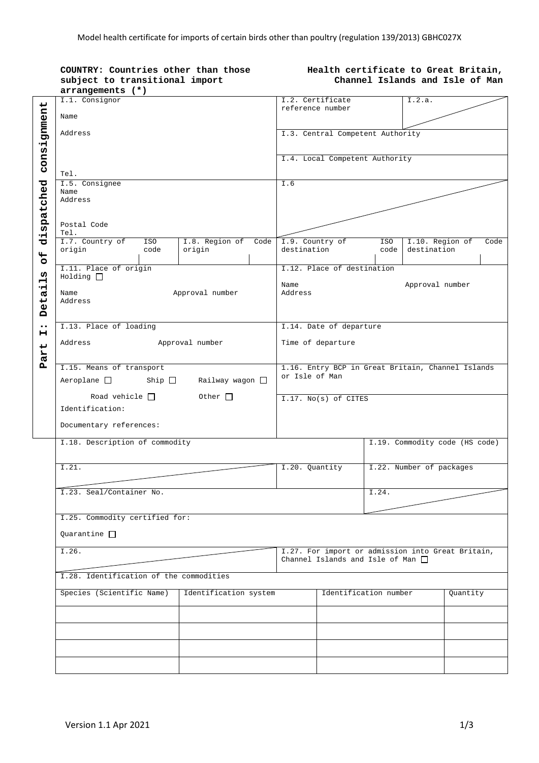| COUNTRY: Countries other than those<br>subject to transitional import |                                |                         | Health certificate to Great Britain,<br>Channel Islands and Isle of Man |                                                                                             |                                |          |  |  |  |
|-----------------------------------------------------------------------|--------------------------------|-------------------------|-------------------------------------------------------------------------|---------------------------------------------------------------------------------------------|--------------------------------|----------|--|--|--|
| arrangements (*)                                                      |                                |                         |                                                                         |                                                                                             |                                |          |  |  |  |
| I.1. Consignor                                                        |                                |                         | I.2. Certificate<br>reference number                                    |                                                                                             | I.2.a.                         |          |  |  |  |
| Name                                                                  |                                |                         |                                                                         |                                                                                             |                                |          |  |  |  |
|                                                                       |                                |                         |                                                                         |                                                                                             |                                |          |  |  |  |
| Address                                                               |                                |                         | I.3. Central Competent Authority                                        |                                                                                             |                                |          |  |  |  |
|                                                                       |                                |                         |                                                                         |                                                                                             |                                |          |  |  |  |
|                                                                       |                                |                         |                                                                         |                                                                                             |                                |          |  |  |  |
|                                                                       |                                |                         | I.4. Local Competent Authority                                          |                                                                                             |                                |          |  |  |  |
| Tel.                                                                  |                                |                         |                                                                         |                                                                                             |                                |          |  |  |  |
| I.5. Consignee                                                        |                                | I.6                     |                                                                         |                                                                                             |                                |          |  |  |  |
| Name                                                                  |                                |                         |                                                                         |                                                                                             |                                |          |  |  |  |
| Address                                                               |                                |                         |                                                                         |                                                                                             |                                |          |  |  |  |
|                                                                       |                                |                         |                                                                         |                                                                                             |                                |          |  |  |  |
|                                                                       |                                |                         |                                                                         |                                                                                             |                                |          |  |  |  |
| Postal Code                                                           |                                |                         |                                                                         |                                                                                             |                                |          |  |  |  |
| Tel.<br>I.7. Country of<br>ISO                                        | I.8. Region of                 | I.9. Country of<br>Code |                                                                         | ISO                                                                                         | I.10. Region of                | Code     |  |  |  |
| origin<br>code                                                        | origin                         | destination             |                                                                         | code                                                                                        | destination                    |          |  |  |  |
|                                                                       |                                |                         |                                                                         |                                                                                             |                                |          |  |  |  |
| I.11. Place of origin                                                 |                                |                         | I.12. Place of destination                                              |                                                                                             |                                |          |  |  |  |
| $Holding$ $\Box$                                                      |                                |                         |                                                                         |                                                                                             |                                |          |  |  |  |
|                                                                       |                                | Name                    |                                                                         |                                                                                             | Approval number                |          |  |  |  |
| Name                                                                  | Approval number                | Address                 |                                                                         |                                                                                             |                                |          |  |  |  |
| Address                                                               |                                |                         |                                                                         |                                                                                             |                                |          |  |  |  |
|                                                                       |                                |                         |                                                                         |                                                                                             |                                |          |  |  |  |
|                                                                       |                                |                         |                                                                         |                                                                                             |                                |          |  |  |  |
| I.13. Place of loading                                                |                                |                         | I.14. Date of departure                                                 |                                                                                             |                                |          |  |  |  |
| Address                                                               | Approval number                |                         | Time of departure                                                       |                                                                                             |                                |          |  |  |  |
|                                                                       |                                |                         |                                                                         |                                                                                             |                                |          |  |  |  |
|                                                                       |                                |                         |                                                                         |                                                                                             |                                |          |  |  |  |
| I.15. Means of transport                                              |                                |                         | 1.16. Entry BCP in Great Britain, Channel Islands                       |                                                                                             |                                |          |  |  |  |
| $Aeroplane$ $\Box$<br>Railway wagon $\Box$<br>Ship $\Box$             |                                |                         | or Isle of Man                                                          |                                                                                             |                                |          |  |  |  |
|                                                                       |                                |                         |                                                                         |                                                                                             |                                |          |  |  |  |
| Road vehicle $\Box$                                                   |                                | I.17. No(s) of CITES    |                                                                         |                                                                                             |                                |          |  |  |  |
| Identification:                                                       |                                |                         |                                                                         |                                                                                             |                                |          |  |  |  |
|                                                                       |                                |                         |                                                                         |                                                                                             |                                |          |  |  |  |
| Documentary references:                                               |                                |                         |                                                                         |                                                                                             |                                |          |  |  |  |
|                                                                       |                                |                         |                                                                         |                                                                                             |                                |          |  |  |  |
| I.18. Description of commodity                                        |                                |                         |                                                                         |                                                                                             | I.19. Commodity code (HS code) |          |  |  |  |
|                                                                       |                                |                         |                                                                         |                                                                                             |                                |          |  |  |  |
|                                                                       |                                |                         |                                                                         |                                                                                             |                                |          |  |  |  |
| I.21.                                                                 |                                | I.20. Quantity          |                                                                         |                                                                                             | I.22. Number of packages       |          |  |  |  |
|                                                                       |                                |                         |                                                                         |                                                                                             |                                |          |  |  |  |
| I.23. Seal/Container No.                                              |                                |                         | I.24.                                                                   |                                                                                             |                                |          |  |  |  |
|                                                                       |                                |                         |                                                                         |                                                                                             |                                |          |  |  |  |
|                                                                       |                                |                         |                                                                         |                                                                                             |                                |          |  |  |  |
|                                                                       | I.25. Commodity certified for: |                         |                                                                         |                                                                                             |                                |          |  |  |  |
|                                                                       |                                |                         |                                                                         |                                                                                             |                                |          |  |  |  |
| Quarantine $\Box$                                                     |                                |                         |                                                                         |                                                                                             |                                |          |  |  |  |
| I.26.                                                                 |                                |                         |                                                                         |                                                                                             |                                |          |  |  |  |
|                                                                       |                                |                         |                                                                         | I.27. For import or admission into Great Britain,<br>Channel Islands and Isle of Man $\Box$ |                                |          |  |  |  |
|                                                                       |                                |                         |                                                                         |                                                                                             |                                |          |  |  |  |
| I.28. Identification of the commodities                               |                                |                         |                                                                         |                                                                                             |                                |          |  |  |  |
|                                                                       |                                |                         |                                                                         |                                                                                             |                                |          |  |  |  |
| Species (Scientific Name)<br>Identification system                    |                                |                         | Identification number                                                   |                                                                                             |                                | Quantity |  |  |  |
|                                                                       |                                |                         |                                                                         |                                                                                             |                                |          |  |  |  |
|                                                                       |                                |                         |                                                                         |                                                                                             |                                |          |  |  |  |
|                                                                       |                                |                         |                                                                         |                                                                                             |                                |          |  |  |  |
|                                                                       |                                |                         |                                                                         |                                                                                             |                                |          |  |  |  |
|                                                                       |                                |                         |                                                                         |                                                                                             |                                |          |  |  |  |
|                                                                       |                                |                         |                                                                         |                                                                                             |                                |          |  |  |  |
|                                                                       |                                |                         |                                                                         |                                                                                             |                                |          |  |  |  |
|                                                                       |                                |                         |                                                                         |                                                                                             |                                |          |  |  |  |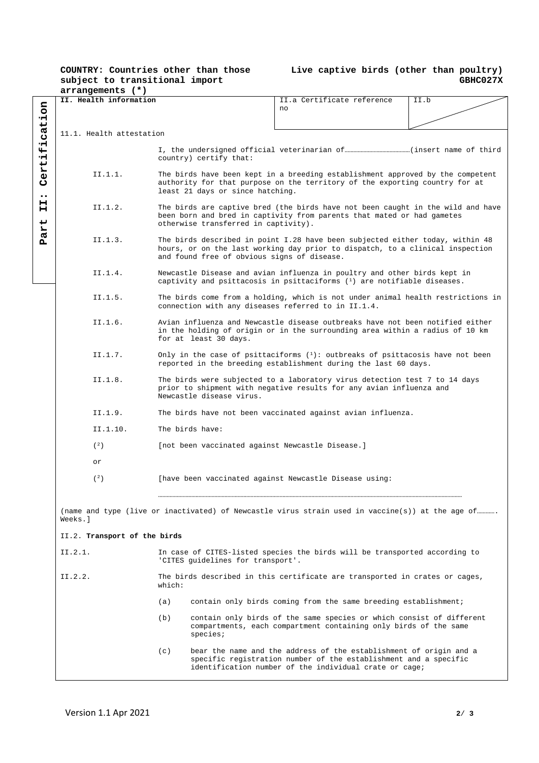## **COUNTRY: Countries other than those subject to transitional import**

## **Live captive birds (other than poultry) GBHC027X**

|                                                                  | arrangements (*)             |                                                                                                                                                                                                   |                                   |                                                                                                                                                                                                               |      |  |  |  |
|------------------------------------------------------------------|------------------------------|---------------------------------------------------------------------------------------------------------------------------------------------------------------------------------------------------|-----------------------------------|---------------------------------------------------------------------------------------------------------------------------------------------------------------------------------------------------------------|------|--|--|--|
|                                                                  | II. Health information       |                                                                                                                                                                                                   |                                   | II.a Certificate reference                                                                                                                                                                                    | II.b |  |  |  |
| ication                                                          |                              |                                                                                                                                                                                                   | no                                |                                                                                                                                                                                                               |      |  |  |  |
|                                                                  | 11.1. Health attestation     |                                                                                                                                                                                                   |                                   |                                                                                                                                                                                                               |      |  |  |  |
| ېز<br>۰H<br>in<br>R<br>Ŭ<br>$\bullet\bullet$<br>н<br>н<br>↵<br>Ĥ |                              |                                                                                                                                                                                                   | country) certify that:            |                                                                                                                                                                                                               |      |  |  |  |
|                                                                  | II.1.1.                      | The birds have been kept in a breeding establishment approved by the competent<br>authority for that purpose on the territory of the exporting country for at<br>least 21 days or since hatching. |                                   |                                                                                                                                                                                                               |      |  |  |  |
|                                                                  | II.1.2.                      | The birds are captive bred (the birds have not been caught in the wild and have<br>been born and bred in captivity from parents that mated or had gametes<br>otherwise transferred in captivity). |                                   |                                                                                                                                                                                                               |      |  |  |  |
| <b>Pa</b>                                                        | II.1.3.                      |                                                                                                                                                                                                   |                                   | The birds described in point I.28 have been subjected either today, within 48<br>hours, or on the last working day prior to dispatch, to a clinical inspection<br>and found free of obvious signs of disease. |      |  |  |  |
|                                                                  | II.1.4.                      |                                                                                                                                                                                                   |                                   | Newcastle Disease and avian influenza in poultry and other birds kept in<br>captivity and psittacosis in psittaciforms $(1)$ are notifiable diseases.                                                         |      |  |  |  |
|                                                                  | II.1.5.                      | The birds come from a holding, which is not under animal health restrictions in<br>connection with any diseases referred to in II.1.4.                                                            |                                   |                                                                                                                                                                                                               |      |  |  |  |
|                                                                  | II.1.6.                      | Avian influenza and Newcastle disease outbreaks have not been notified either<br>in the holding of origin or in the surrounding area within a radius of 10 km                                     |                                   |                                                                                                                                                                                                               |      |  |  |  |
|                                                                  | II.1.7.                      | Only in the case of psittaciforms $(1)$ : outbreaks of psittacosis have not been<br>reported in the breeding establishment during the last 60 days.                                               |                                   |                                                                                                                                                                                                               |      |  |  |  |
|                                                                  | II.1.8.                      | The birds were subjected to a laboratory virus detection test 7 to 14 days<br>prior to shipment with negative results for any avian influenza and<br>Newcastle disease virus.                     |                                   |                                                                                                                                                                                                               |      |  |  |  |
|                                                                  | II.1.9.                      | The birds have not been vaccinated against avian influenza.                                                                                                                                       |                                   |                                                                                                                                                                                                               |      |  |  |  |
|                                                                  | II.1.10.                     | The birds have:                                                                                                                                                                                   |                                   |                                                                                                                                                                                                               |      |  |  |  |
|                                                                  | (2)                          |                                                                                                                                                                                                   |                                   |                                                                                                                                                                                                               |      |  |  |  |
|                                                                  | or                           |                                                                                                                                                                                                   |                                   |                                                                                                                                                                                                               |      |  |  |  |
|                                                                  | (2)                          | [have been vaccinated against Newcastle Disease using:                                                                                                                                            |                                   |                                                                                                                                                                                                               |      |  |  |  |
|                                                                  | Weeks.l                      |                                                                                                                                                                                                   |                                   | (name and type (live or inactivated) of Newcastle virus strain used in vaccine(s)) at the age of                                                                                                              |      |  |  |  |
|                                                                  | II.2. Transport of the birds |                                                                                                                                                                                                   |                                   |                                                                                                                                                                                                               |      |  |  |  |
|                                                                  | II.2.1.                      |                                                                                                                                                                                                   | 'CITES guidelines for transport'. | In case of CITES-listed species the birds will be transported according to                                                                                                                                    |      |  |  |  |
|                                                                  | II.2.2.                      | which:                                                                                                                                                                                            |                                   | The birds described in this certificate are transported in crates or cages,                                                                                                                                   |      |  |  |  |
|                                                                  |                              | (a)                                                                                                                                                                                               |                                   | contain only birds coming from the same breeding establishment;                                                                                                                                               |      |  |  |  |
|                                                                  |                              | (b)                                                                                                                                                                                               | species;                          | contain only birds of the same species or which consist of different<br>compartments, each compartment containing only birds of the same                                                                      |      |  |  |  |
|                                                                  |                              | (c)                                                                                                                                                                                               |                                   | bear the name and the address of the establishment of origin and a<br>specific registration number of the establishment and a specific<br>identification number of the individual crate or cage;              |      |  |  |  |